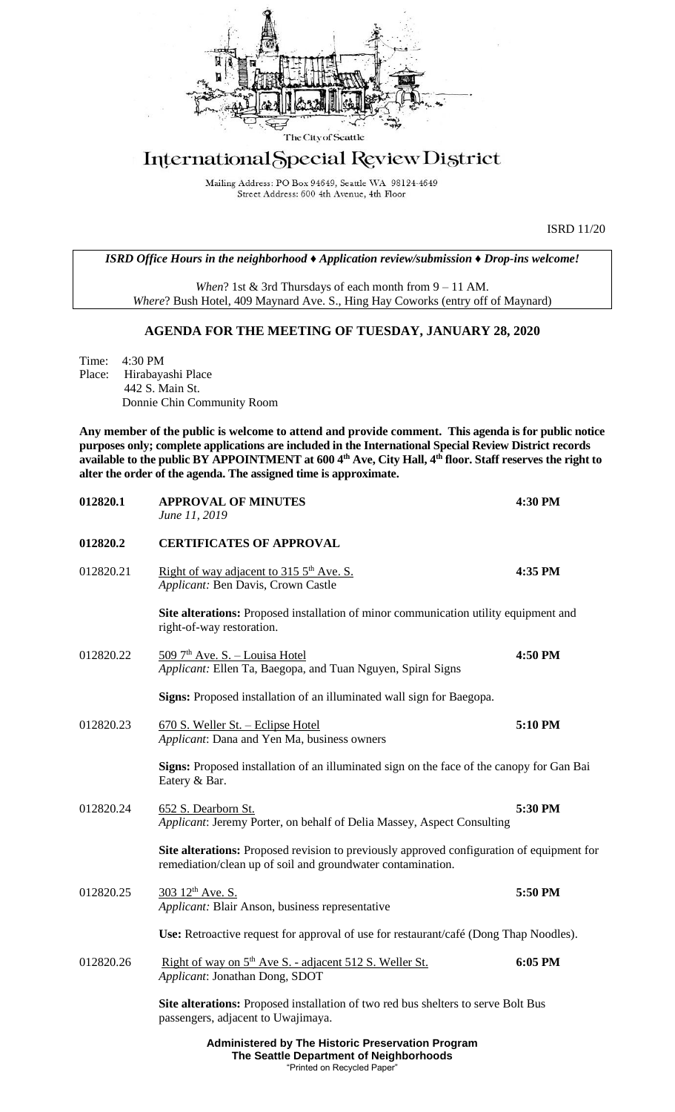

# International Special Review District

Mailing Address: PO Box 94649, Seattle WA 98124-4649 Street Address: 600 4th Avenue, 4th Floor

ISRD 11/20

*ISRD Office Hours in the neighborhood ♦ Application review/submission ♦ Drop-ins welcome!*

*When*? 1st & 3rd Thursdays of each month from 9 – 11 AM. *Where*? Bush Hotel, 409 Maynard Ave. S., Hing Hay Coworks (entry off of Maynard)

## **AGENDA FOR THE MEETING OF TUESDAY, JANUARY 28, 2020**

Time: 4:30 PM Place: Hirabayashi Place 442 S. Main St. Donnie Chin Community Room

**Any member of the public is welcome to attend and provide comment. This agenda is for public notice purposes only; complete applications are included in the International Special Review District records available to the public BY APPOINTMENT at 600 4th Ave, City Hall, 4th floor. Staff reserves the right to alter the order of the agenda. The assigned time is approximate.** 

| 012820.1  | <b>APPROVAL OF MINUTES</b><br>June 11, 2019                                                                                                              | 4:30 PM |
|-----------|----------------------------------------------------------------------------------------------------------------------------------------------------------|---------|
| 012820.2  | <b>CERTIFICATES OF APPROVAL</b>                                                                                                                          |         |
| 012820.21 | Right of way adjacent to 315 5 <sup>th</sup> Ave. S.<br>Applicant: Ben Davis, Crown Castle                                                               | 4:35 PM |
|           | Site alterations: Proposed installation of minor communication utility equipment and<br>right-of-way restoration.                                        |         |
| 012820.22 | 509 7 <sup>th</sup> Ave. S. - Louisa Hotel<br>Applicant: Ellen Ta, Baegopa, and Tuan Nguyen, Spiral Signs                                                | 4:50 PM |
|           | Signs: Proposed installation of an illuminated wall sign for Baegopa.                                                                                    |         |
| 012820.23 | 670 S. Weller St. - Eclipse Hotel<br>Applicant: Dana and Yen Ma, business owners                                                                         | 5:10 PM |
|           | Signs: Proposed installation of an illuminated sign on the face of the canopy for Gan Bai<br>Eatery & Bar.                                               |         |
| 012820.24 | 652 S. Dearborn St.<br>Applicant: Jeremy Porter, on behalf of Delia Massey, Aspect Consulting                                                            | 5:30 PM |
|           | Site alterations: Proposed revision to previously approved configuration of equipment for<br>remediation/clean up of soil and groundwater contamination. |         |
| 012820.25 | 303 12 <sup>th</sup> Ave. S.<br>Applicant: Blair Anson, business representative                                                                          | 5:50 PM |
|           | Use: Retroactive request for approval of use for restaurant/café (Dong Thap Noodles).                                                                    |         |
| 012820.26 | Right of way on 5 <sup>th</sup> Ave S. - adjacent 512 S. Weller St.<br>Applicant: Jonathan Dong, SDOT                                                    | 6:05 PM |
|           | Site alterations: Proposed installation of two red bus shelters to serve Bolt Bus<br>passengers, adjacent to Uwajimaya.                                  |         |
|           | Administered by The Historie Dreasmetian Dreaman                                                                                                         |         |